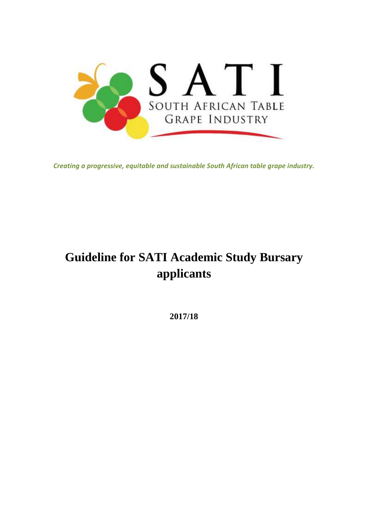

*Creating a progressive, equitable and sustainable South African table grape industry.*

# **Guideline for SATI Academic Study Bursary applicants**

**2017/18**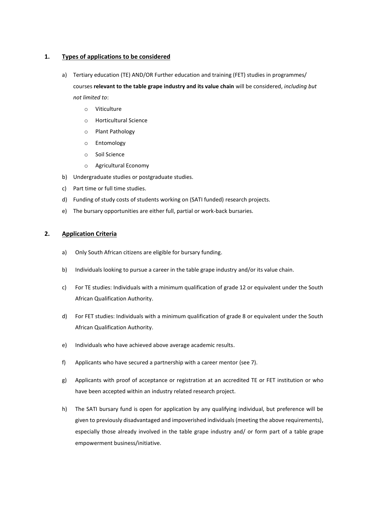#### **1. Types of applications to be considered**

- a) Tertiary education (TE) AND/OR Further education and training (FET) studies in programmes/ courses **relevant to the table grape industry and its value chain** will be considered, *including but not limited to*:
	- o Viticulture
	- o Horticultural Science
	- o Plant Pathology
	- o Entomology
	- o Soil Science
	- o Agricultural Economy
- b) Undergraduate studies or postgraduate studies.
- c) Part time or full time studies.
- d) Funding of study costs of students working on (SATI funded) research projects.
- e) The bursary opportunities are either full, partial or work-back bursaries.

## **2. Application Criteria**

- a) Only South African citizens are eligible for bursary funding.
- b) Individuals looking to pursue a career in the table grape industry and/or its value chain.
- c) For TE studies: Individuals with a minimum qualification of grade 12 or equivalent under the South African Qualification Authority.
- d) For FET studies: Individuals with a minimum qualification of grade 8 or equivalent under the South African Qualification Authority.
- e) Individuals who have achieved above average academic results.
- f) Applicants who have secured a partnership with a career mentor (see 7).
- g) Applicants with proof of acceptance or registration at an accredited TE or FET institution or who have been accepted within an industry related research project.
- h) The SATI bursary fund is open for application by any qualifying individual, but preference will be given to previously disadvantaged and impoverished individuals (meeting the above requirements), especially those already involved in the table grape industry and/ or form part of a table grape empowerment business/initiative.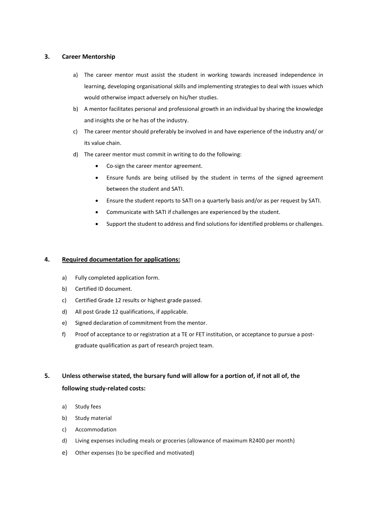#### **3. Career Mentorship**

- a) The career mentor must assist the student in working towards increased independence in learning, developing organisational skills and implementing strategies to deal with issues which would otherwise impact adversely on his/her studies.
- b) A mentor facilitates personal and professional growth in an individual by sharing the knowledge and insights she or he has of the industry.
- c) The career mentor should preferably be involved in and have experience of the industry and/ or its value chain.
- d) The career mentor must commit in writing to do the following:
	- Co-sign the career mentor agreement.
	- Ensure funds are being utilised by the student in terms of the signed agreement between the student and SATI.
	- Ensure the student reports to SATI on a quarterly basis and/or as per request by SATI.
	- Communicate with SATI if challenges are experienced by the student.
	- Support the student to address and find solutions for identified problems or challenges.

#### **4. Required documentation for applications:**

- a) Fully completed application form.
- b) Certified ID document.
- c) Certified Grade 12 results or highest grade passed.
- d) All post Grade 12 qualifications, if applicable.
- e) Signed declaration of commitment from the mentor.
- f) Proof of acceptance to or registration at a TE or FET institution, or acceptance to pursue a postgraduate qualification as part of research project team.

# **5. Unless otherwise stated, the bursary fund will allow for a portion of, if not all of, the following study-related costs:**

- a) Study fees
- b) Study material
- c) Accommodation
- d) Living expenses including meals or groceries (allowance of maximum R2400 per month)
- e) Other expenses (to be specified and motivated)